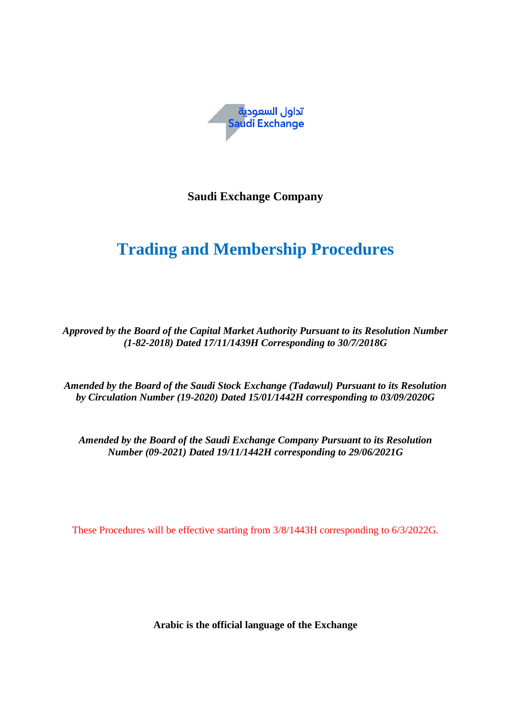

**Saudi Exchange Company** 

# **Trading and Membership Procedures**

*Approved by the Board of the Capital Market Authority Pursuant to its Resolution Number (1-82-2018) Dated 17/11/1439H Corresponding to 30/7/2018G*

*Amended by the Board of the Saudi Stock Exchange (Tadawul) Pursuant to its Resolution by Circulation Number (19-2020) Dated 15/01/1442H corresponding to 03/09/2020G*

*Amended by the Board of the Saudi Exchange Company Pursuant to its Resolution Number (09-2021) Dated 19/11/1442H corresponding to 29/06/2021G*

These Procedures will be effective starting from 3/8/1443H corresponding to 6/3/2022G.

**Arabic is the official language of the Exchange**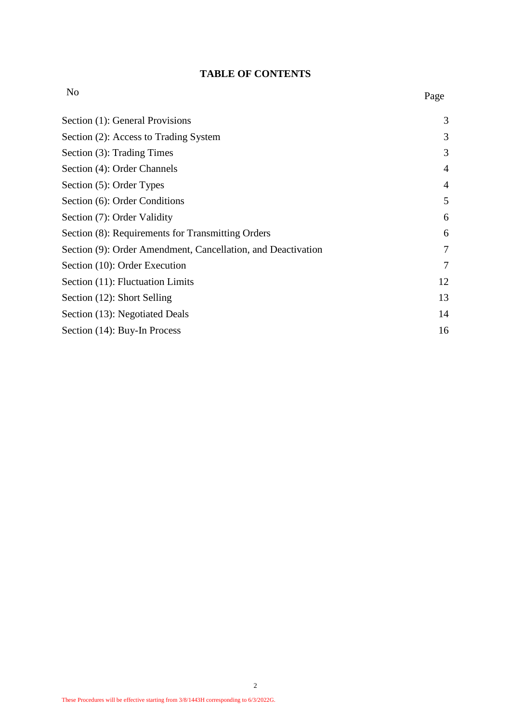# **TABLE OF CONTENTS**

| N <sub>o</sub>                                               | Page           |
|--------------------------------------------------------------|----------------|
| Section (1): General Provisions                              | 3              |
| Section (2): Access to Trading System                        | 3              |
| Section (3): Trading Times                                   | 3              |
| Section (4): Order Channels                                  | $\overline{4}$ |
| Section (5): Order Types                                     | $\overline{4}$ |
| Section (6): Order Conditions                                | 5              |
| Section (7): Order Validity                                  | 6              |
| Section (8): Requirements for Transmitting Orders            | 6              |
| Section (9): Order Amendment, Cancellation, and Deactivation | 7              |
| Section (10): Order Execution                                | 7              |
| Section (11): Fluctuation Limits                             | 12             |
| Section (12): Short Selling                                  | 13             |
| Section (13): Negotiated Deals                               | 14             |
| Section (14): Buy-In Process                                 | 16             |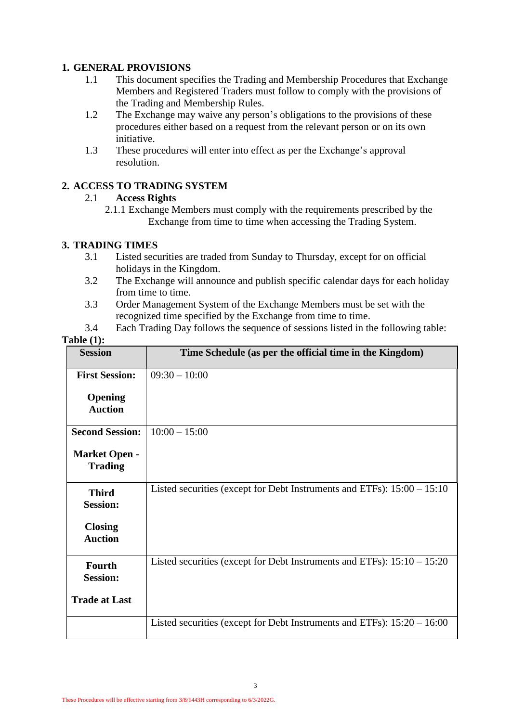# **1. GENERAL PROVISIONS**

- 1.1 This document specifies the Trading and Membership Procedures that Exchange Members and Registered Traders must follow to comply with the provisions of the Trading and Membership Rules.
- 1.2 The Exchange may waive any person's obligations to the provisions of these procedures either based on a request from the relevant person or on its own initiative.
- 1.3 These procedures will enter into effect as per the Exchange's approval resolution.

# **2. ACCESS TO TRADING SYSTEM**

#### 2.1 **Access Rights**

2.1.1 Exchange Members must comply with the requirements prescribed by the Exchange from time to time when accessing the Trading System.

# **3. TRADING TIMES**

- 3.1 Listed securities are traded from Sunday to Thursday, except for on official holidays in the Kingdom.
- 3.2 The Exchange will announce and publish specific calendar days for each holiday from time to time.
- 3.3 Order Management System of the Exchange Members must be set with the recognized time specified by the Exchange from time to time.
- 3.4 Each Trading Day follows the sequence of sessions listed in the following table:

| L'able (1):                            |                                                                           |
|----------------------------------------|---------------------------------------------------------------------------|
| <b>Session</b>                         | Time Schedule (as per the official time in the Kingdom)                   |
| <b>First Session:</b>                  | $09:30 - 10:00$                                                           |
| Opening<br><b>Auction</b>              |                                                                           |
| <b>Second Session:</b>                 | $10:00 - 15:00$                                                           |
| <b>Market Open -</b><br><b>Trading</b> |                                                                           |
| <b>Third</b><br><b>Session:</b>        | Listed securities (except for Debt Instruments and ETFs): $15:00 - 15:10$ |
| <b>Closing</b><br><b>Auction</b>       |                                                                           |
| <b>Fourth</b><br><b>Session:</b>       | Listed securities (except for Debt Instruments and ETFs): $15:10 - 15:20$ |
| <b>Trade at Last</b>                   |                                                                           |
|                                        | Listed securities (except for Debt Instruments and ETFs): $15:20 - 16:00$ |

# **Table (1):**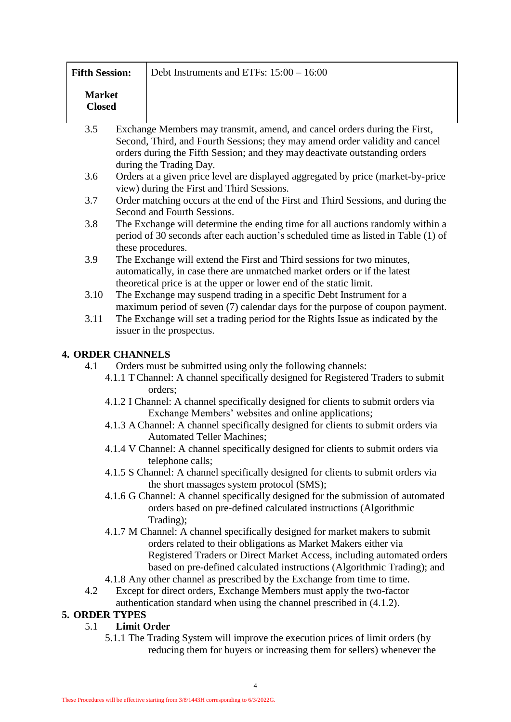|               | <b>Fifth Session:</b>                                                             | Debt Instruments and ETFs: $15:00 - 16:00$                                                                                                    |  |  |  |
|---------------|-----------------------------------------------------------------------------------|-----------------------------------------------------------------------------------------------------------------------------------------------|--|--|--|
| <b>Market</b> |                                                                                   |                                                                                                                                               |  |  |  |
| <b>Closed</b> |                                                                                   |                                                                                                                                               |  |  |  |
|               |                                                                                   |                                                                                                                                               |  |  |  |
| 3.5           |                                                                                   | Exchange Members may transmit, amend, and cancel orders during the First,                                                                     |  |  |  |
|               |                                                                                   | Second, Third, and Fourth Sessions; they may amend order validity and cancel                                                                  |  |  |  |
|               |                                                                                   | orders during the Fifth Session; and they may deactivate outstanding orders                                                                   |  |  |  |
|               |                                                                                   | during the Trading Day.                                                                                                                       |  |  |  |
| 3.6           |                                                                                   | Orders at a given price level are displayed aggregated by price (market-by-price                                                              |  |  |  |
|               |                                                                                   | view) during the First and Third Sessions.                                                                                                    |  |  |  |
| 3.7           |                                                                                   | Order matching occurs at the end of the First and Third Sessions, and during the<br>Second and Fourth Sessions.                               |  |  |  |
| 3.8           |                                                                                   | The Exchange will determine the ending time for all auctions randomly within a                                                                |  |  |  |
|               |                                                                                   | period of 30 seconds after each auction's scheduled time as listed in Table (1) of                                                            |  |  |  |
|               |                                                                                   | these procedures.                                                                                                                             |  |  |  |
| 3.9           |                                                                                   | The Exchange will extend the First and Third sessions for two minutes,                                                                        |  |  |  |
|               |                                                                                   | automatically, in case there are unmatched market orders or if the latest                                                                     |  |  |  |
|               |                                                                                   | theoretical price is at the upper or lower end of the static limit.                                                                           |  |  |  |
| 3.10          |                                                                                   | The Exchange may suspend trading in a specific Debt Instrument for a                                                                          |  |  |  |
|               |                                                                                   | maximum period of seven (7) calendar days for the purpose of coupon payment.                                                                  |  |  |  |
| 3.11          |                                                                                   | The Exchange will set a trading period for the Rights Issue as indicated by the                                                               |  |  |  |
|               |                                                                                   | issuer in the prospectus.                                                                                                                     |  |  |  |
|               | <b>4. ORDER CHANNELS</b>                                                          |                                                                                                                                               |  |  |  |
| 4.1           |                                                                                   | Orders must be submitted using only the following channels:                                                                                   |  |  |  |
|               |                                                                                   | 4.1.1 T Channel: A channel specifically designed for Registered Traders to submit                                                             |  |  |  |
|               | orders;                                                                           |                                                                                                                                               |  |  |  |
|               | 4.1.2 I Channel: A channel specifically designed for clients to submit orders via |                                                                                                                                               |  |  |  |
|               |                                                                                   | Exchange Members' websites and online applications;                                                                                           |  |  |  |
|               |                                                                                   | 4.1.3 A Channel: A channel specifically designed for clients to submit orders via                                                             |  |  |  |
|               |                                                                                   | <b>Automated Teller Machines:</b>                                                                                                             |  |  |  |
|               |                                                                                   | 4.1.4 V Channel: A channel specifically designed for clients to submit orders via                                                             |  |  |  |
|               |                                                                                   | telephone calls;<br>4.1.5 S Channel: A channel specifically designed for clients to submit orders via                                         |  |  |  |
|               |                                                                                   | the short massages system protocol (SMS);                                                                                                     |  |  |  |
|               |                                                                                   | 4.1.6 G Channel: A channel specifically designed for the submission of automated                                                              |  |  |  |
|               |                                                                                   | orders based on pre-defined calculated instructions (Algorithmic                                                                              |  |  |  |
|               |                                                                                   | Trading);                                                                                                                                     |  |  |  |
|               |                                                                                   | 4.1.7 M Channel: A channel specifically designed for market makers to submit                                                                  |  |  |  |
|               |                                                                                   | orders related to their obligations as Market Makers either via                                                                               |  |  |  |
|               |                                                                                   | Registered Traders or Direct Market Access, including automated orders                                                                        |  |  |  |
|               |                                                                                   | based on pre-defined calculated instructions (Algorithmic Trading); and                                                                       |  |  |  |
|               |                                                                                   | 4.1.8 Any other channel as prescribed by the Exchange from time to time.                                                                      |  |  |  |
| 4.2           |                                                                                   | Except for direct orders, Exchange Members must apply the two-factor<br>authentication standard when using the channel prescribed in (4.1.2). |  |  |  |
|               | <b>5. ORDER TYPES</b>                                                             |                                                                                                                                               |  |  |  |
| 5.1           | <b>Limit Order</b>                                                                |                                                                                                                                               |  |  |  |
|               |                                                                                   | 5.1.1 The Trading System will improve the execution prices of limit orders (by                                                                |  |  |  |
|               |                                                                                   | reducing them for buyers or increasing them for sellers) whenever the                                                                         |  |  |  |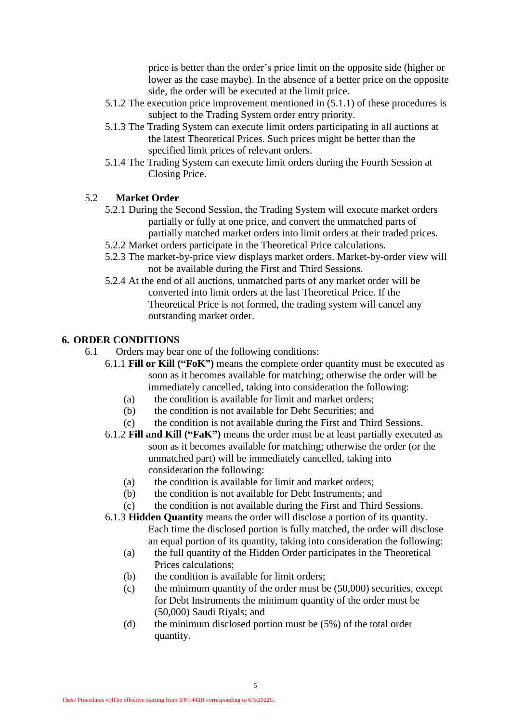price is better than the order's price limit on the opposite side (higher or lower as the case maybe). In the absence of a better price on the opposite side, the order will be executed at the limit price.

- 5.1.2 The execution price improvement mentioned in (5.1.1) of these procedures is subject to the Trading System order entry priority.
- 5.1.3 The Trading System can execute limit orders participating in all auctions at the latest Theoretical Prices. Such prices might be better than the specified limit prices of relevant orders.
- 5.1.4 The Trading System can execute limit orders during the Fourth Session at Closing Price.

# 5.2 **Market Order**

- 5.2.1 During the Second Session, the Trading System will execute market orders partially or fully at one price, and convert the unmatched parts of partially matched market orders into limit orders at their traded prices.
- 5.2.2 Market orders participate in the Theoretical Price calculations.
- 5.2.3 The market-by-price view displays market orders. Market-by-order view will not be available during the First and Third Sessions.
- 5.2.4 At the end of all auctions, unmatched parts of any market order will be converted into limit orders at the last Theoretical Price. If the Theoretical Price is not formed, the trading system will cancel any outstanding market order.

#### **6. ORDER CONDITIONS**

- 6.1 Orders may bear one of the following conditions:
	- 6.1.1 **Fill or Kill ("FoK")** means the complete order quantity must be executed as soon as it becomes available for matching; otherwise the order will be immediately cancelled, taking into consideration the following:
		- (a) the condition is available for limit and market orders;
		- (b) the condition is not available for Debt Securities; and
		- (c) the condition is not available during the First and Third Sessions.
	- 6.1.2 **Fill and Kill ("FaK")** means the order must be at least partially executed as soon as it becomes available for matching; otherwise the order (or the unmatched part) will be immediately cancelled, taking into consideration the following:
		- (a) the condition is available for limit and market orders;
		- (b) the condition is not available for Debt Instruments; and
		- (c) the condition is not available during the First and Third Sessions.
	- 6.1.3 **Hidden Quantity** means the order will disclose a portion of its quantity. Each time the disclosed portion is fully matched, the order will disclose an equal portion of its quantity, taking into consideration the following:
		- (a) the full quantity of the Hidden Order participates in the Theoretical Prices calculations;
		- (b) the condition is available for limit orders;
		- (c) the minimum quantity of the order must be (50,000) securities, except for Debt Instruments the minimum quantity of the order must be (50,000) Saudi Riyals; and
		- (d) the minimum disclosed portion must be (5%) of the total order quantity.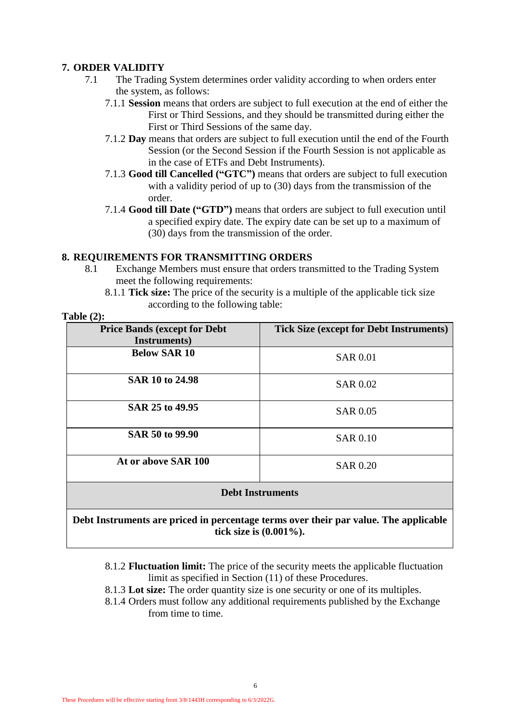# **7. ORDER VALIDITY**

- 7.1 The Trading System determines order validity according to when orders enter the system, as follows:
	- 7.1.1 **Session** means that orders are subject to full execution at the end of either the First or Third Sessions, and they should be transmitted during either the First or Third Sessions of the same day.
	- 7.1.2 **Day** means that orders are subject to full execution until the end of the Fourth Session (or the Second Session if the Fourth Session is not applicable as in the case of ETFs and Debt Instruments).
	- 7.1.3 **Good till Cancelled ("GTC")** means that orders are subject to full execution with a validity period of up to (30) days from the transmission of the order.
	- 7.1.4 **Good till Date ("GTD")** means that orders are subject to full execution until a specified expiry date. The expiry date can be set up to a maximum of (30) days from the transmission of the order.

#### **8. REQUIREMENTS FOR TRANSMITTING ORDERS**

- 8.1 Exchange Members must ensure that orders transmitted to the Trading System meet the following requirements:
	- 8.1.1 **Tick size:** The price of the security is a multiple of the applicable tick size according to the following table:

#### **Table (2):**

| <b>Price Bands (except for Debt</b><br>Instruments) | <b>Tick Size (except for Debt Instruments)</b> |  |
|-----------------------------------------------------|------------------------------------------------|--|
| <b>Below SAR 10</b>                                 | <b>SAR 0.01</b>                                |  |
| SAR 10 to 24.98                                     | <b>SAR 0.02</b>                                |  |
| SAR 25 to 49.95                                     | <b>SAR 0.05</b>                                |  |
| SAR 50 to 99.90                                     | <b>SAR 0.10</b>                                |  |
| At or above SAR 100                                 | <b>SAR 0.20</b>                                |  |
| <b>Debt Instruments</b>                             |                                                |  |

#### **Debt Instruments are priced in percentage terms over their par value. The applicable tick size is (0.001%).**

- 8.1.2 **Fluctuation limit:** The price of the security meets the applicable fluctuation limit as specified in Section (11) of these Procedures.
- 8.1.3 **Lot size:** The order quantity size is one security or one of its multiples.
- 8.1.4 Orders must follow any additional requirements published by the Exchange from time to time.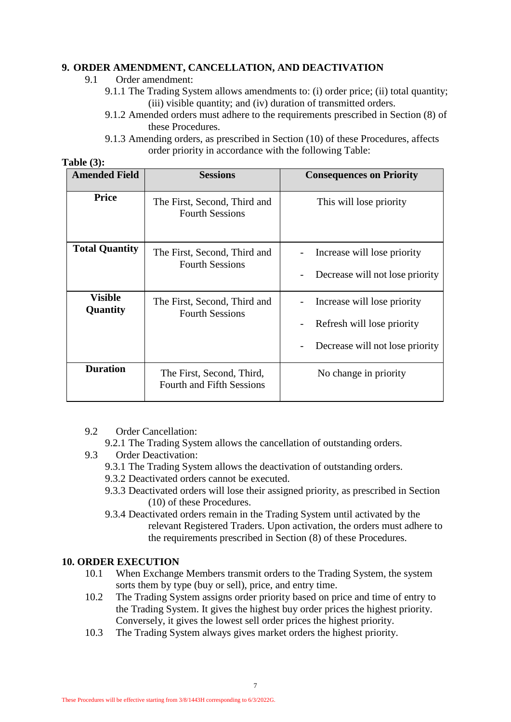# **9. ORDER AMENDMENT, CANCELLATION, AND DEACTIVATION**

- 9.1 Order amendment:
	- 9.1.1 The Trading System allows amendments to: (i) order price; (ii) total quantity; (iii) visible quantity; and (iv) duration of transmitted orders.
	- 9.1.2 Amended orders must adhere to the requirements prescribed in Section (8) of these Procedures.
	- 9.1.3 Amending orders, as prescribed in Section (10) of these Procedures, affects order priority in accordance with the following Table:

| <b>Table (3):</b> |  |
|-------------------|--|
|-------------------|--|

| <b>Amended Field</b>       | <b>Sessions</b>                                               | <b>Consequences on Priority</b>                                                              |
|----------------------------|---------------------------------------------------------------|----------------------------------------------------------------------------------------------|
| <b>Price</b>               | The First, Second, Third and<br><b>Fourth Sessions</b>        | This will lose priority                                                                      |
| <b>Total Quantity</b>      | The First, Second, Third and<br><b>Fourth Sessions</b>        | Increase will lose priority<br>Decrease will not lose priority                               |
| <b>Visible</b><br>Quantity | The First, Second, Third and<br><b>Fourth Sessions</b>        | Increase will lose priority<br>Refresh will lose priority<br>Decrease will not lose priority |
| <b>Duration</b>            | The First, Second, Third,<br><b>Fourth and Fifth Sessions</b> | No change in priority                                                                        |

9.2 Order Cancellation:

9.2.1 The Trading System allows the cancellation of outstanding orders.

- 9.3 Order Deactivation:
	- 9.3.1 The Trading System allows the deactivation of outstanding orders.
	- 9.3.2 Deactivated orders cannot be executed.
	- 9.3.3 Deactivated orders will lose their assigned priority, as prescribed in Section (10) of these Procedures.
	- 9.3.4 Deactivated orders remain in the Trading System until activated by the relevant Registered Traders. Upon activation, the orders must adhere to the requirements prescribed in Section (8) of these Procedures.

# **10. ORDER EXECUTION**

- 10.1 When Exchange Members transmit orders to the Trading System, the system sorts them by type (buy or sell), price, and entry time.
- 10.2 The Trading System assigns order priority based on price and time of entry to the Trading System. It gives the highest buy order prices the highest priority. Conversely, it gives the lowest sell order prices the highest priority.
- 10.3 The Trading System always gives market orders the highest priority.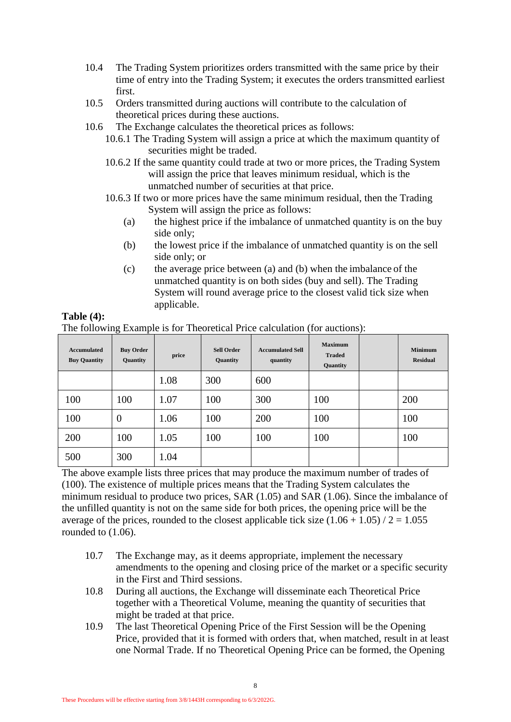- 10.4 The Trading System prioritizes orders transmitted with the same price by their time of entry into the Trading System; it executes the orders transmitted earliest first.
- 10.5 Orders transmitted during auctions will contribute to the calculation of theoretical prices during these auctions.
- 10.6 The Exchange calculates the theoretical prices as follows:
	- 10.6.1 The Trading System will assign a price at which the maximum quantity of securities might be traded.
	- 10.6.2 If the same quantity could trade at two or more prices, the Trading System will assign the price that leaves minimum residual, which is the unmatched number of securities at that price.
	- 10.6.3 If two or more prices have the same minimum residual, then the Trading System will assign the price as follows:
		- (a) the highest price if the imbalance of unmatched quantity is on the buy side only;
		- (b) the lowest price if the imbalance of unmatched quantity is on the sell side only; or
		- (c) the average price between (a) and (b) when the imbalance of the unmatched quantity is on both sides (buy and sell). The Trading System will round average price to the closest valid tick size when applicable.

| <b>Accumulated</b><br><b>Buy Quantity</b> | ÷<br><b>Buy Order</b><br>Quantity | price | <b>Sell Order</b><br>Quantity | <b>Accumulated Sell</b><br>quantity | <b>Maximum</b><br><b>Traded</b><br>Quantity | <b>Minimum</b><br><b>Residual</b> |
|-------------------------------------------|-----------------------------------|-------|-------------------------------|-------------------------------------|---------------------------------------------|-----------------------------------|
|                                           |                                   | 1.08  | 300                           | 600                                 |                                             |                                   |
| 100                                       | 100                               | 1.07  | 100                           | 300                                 | 100                                         | 200                               |
| 100                                       | $\theta$                          | 1.06  | 100                           | 200                                 | 100                                         | 100                               |
| 200                                       | 100                               | 1.05  | 100                           | 100                                 | 100                                         | 100                               |
| 500                                       | 300                               | 1.04  |                               |                                     |                                             |                                   |

The following Example is for Theoretical Price calculation (for auctions):

**Table (4):**

The above example lists three prices that may produce the maximum number of trades of (100). The existence of multiple prices means that the Trading System calculates the minimum residual to produce two prices, SAR (1.05) and SAR (1.06). Since the imbalance of the unfilled quantity is not on the same side for both prices, the opening price will be the average of the prices, rounded to the closest applicable tick size  $(1.06 + 1.05) / 2 = 1.055$ rounded to (1.06).

- 10.7 The Exchange may, as it deems appropriate, implement the necessary amendments to the opening and closing price of the market or a specific security in the First and Third sessions.
- 10.8 During all auctions, the Exchange will disseminate each Theoretical Price together with a Theoretical Volume, meaning the quantity of securities that might be traded at that price.
- 10.9 The last Theoretical Opening Price of the First Session will be the Opening Price, provided that it is formed with orders that, when matched, result in at least one Normal Trade. If no Theoretical Opening Price can be formed, the Opening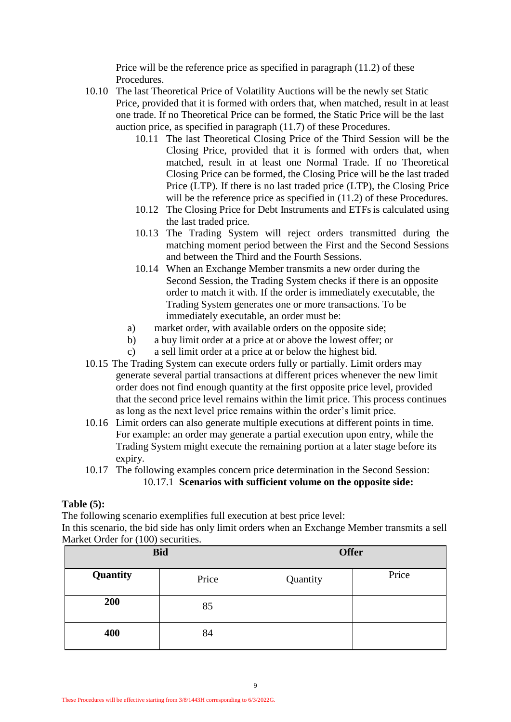Price will be the reference price as specified in paragraph (11.2) of these Procedures.

- 10.10 The last Theoretical Price of Volatility Auctions will be the newly set Static Price, provided that it is formed with orders that, when matched, result in at least one trade. If no Theoretical Price can be formed, the Static Price will be the last auction price, as specified in paragraph (11.7) of these Procedures.
	- 10.11 The last Theoretical Closing Price of the Third Session will be the Closing Price, provided that it is formed with orders that, when matched, result in at least one Normal Trade. If no Theoretical Closing Price can be formed, the Closing Price will be the last traded Price (LTP). If there is no last traded price (LTP), the Closing Price will be the reference price as specified in  $(11.2)$  of these Procedures.
	- 10.12 The Closing Price for Debt Instruments and ETFsis calculated using the last traded price.
	- 10.13 The Trading System will reject orders transmitted during the matching moment period between the First and the Second Sessions and between the Third and the Fourth Sessions.
	- 10.14 When an Exchange Member transmits a new order during the Second Session, the Trading System checks if there is an opposite order to match it with. If the order is immediately executable, the Trading System generates one or more transactions. To be immediately executable, an order must be:
	- a) market order, with available orders on the opposite side;
	- b) a buy limit order at a price at or above the lowest offer; or
	- c) a sell limit order at a price at or below the highest bid.
- 10.15 The Trading System can execute orders fully or partially. Limit orders may generate several partial transactions at different prices whenever the new limit order does not find enough quantity at the first opposite price level, provided that the second price level remains within the limit price. This process continues as long as the next level price remains within the order's limit price.
- 10.16 Limit orders can also generate multiple executions at different points in time. For example: an order may generate a partial execution upon entry, while the Trading System might execute the remaining portion at a later stage before its expiry.
- 10.17 The following examples concern price determination in the Second Session: 10.17.1 **Scenarios with sufficient volume on the opposite side:**

#### **Table (5):**

The following scenario exemplifies full execution at best price level:

In this scenario, the bid side has only limit orders when an Exchange Member transmits a sell Market Order for (100) securities.

|          | <b>Bid</b> | <b>Offer</b> |       |
|----------|------------|--------------|-------|
| Quantity | Price      | Quantity     | Price |
| 200      | 85         |              |       |
| 400      | 84         |              |       |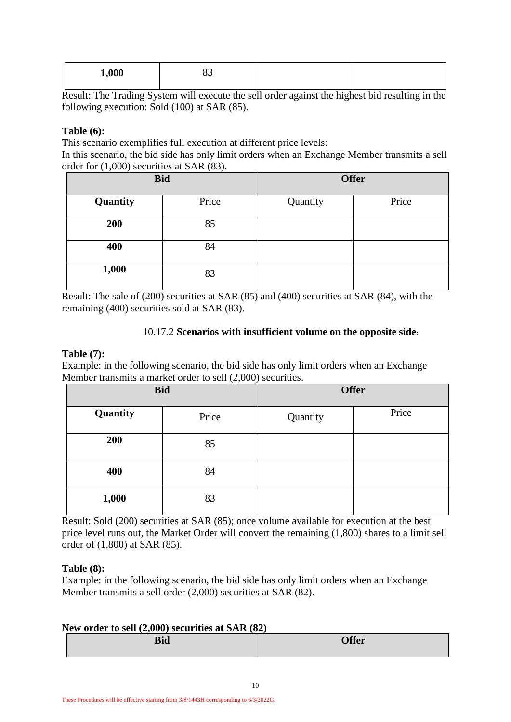| 1,000 | ບບ |  |
|-------|----|--|
|       |    |  |

Result: The Trading System will execute the sell order against the highest bid resulting in the following execution: Sold (100) at SAR (85).

#### **Table (6):**

This scenario exemplifies full execution at different price levels:

In this scenario, the bid side has only limit orders when an Exchange Member transmits a sell order for (1,000) securities at SAR (83).

| <b>Bid</b> |       |          | <b>Offer</b> |
|------------|-------|----------|--------------|
| Quantity   | Price | Quantity | Price        |
| 200        | 85    |          |              |
| 400        | 84    |          |              |
| 1,000      | 83    |          |              |

Result: The sale of (200) securities at SAR (85) and (400) securities at SAR (84), with the remaining (400) securities sold at SAR (83).

#### 10.17.2 **Scenarios with insufficient volume on the opposite side:**

#### **Table (7):**

Example: in the following scenario, the bid side has only limit orders when an Exchange Member transmits a market order to sell (2,000) securities.

| <b>Bid</b> |       |          | <b>Offer</b> |
|------------|-------|----------|--------------|
| Quantity   | Price | Quantity | Price        |
| 200        | 85    |          |              |
| 400        | 84    |          |              |
| 1,000      | 83    |          |              |

Result: Sold (200) securities at SAR (85); once volume available for execution at the best price level runs out, the Market Order will convert the remaining (1,800) shares to a limit sell order of  $(1,800)$  at SAR  $(85)$ .

#### **Table (8):**

Example: in the following scenario, the bid side has only limit orders when an Exchange Member transmits a sell order (2,000) securities at SAR (82).

#### **New order to sell (2,000) securities at SAR (82)**

| Bic<br>--- | <b>AQ</b><br>$\sim$<br>w |
|------------|--------------------------|
|            |                          |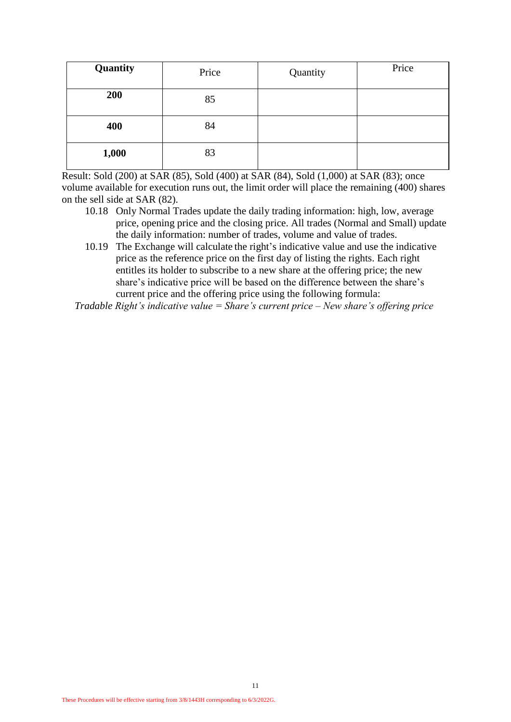| Quantity | Price | Quantity | Price |
|----------|-------|----------|-------|
| 200      | 85    |          |       |
| 400      | 84    |          |       |
| 1,000    | 83    |          |       |

Result: Sold (200) at SAR (85), Sold (400) at SAR (84), Sold (1,000) at SAR (83); once volume available for execution runs out, the limit order will place the remaining (400) shares on the sell side at SAR (82).

- 10.18 Only Normal Trades update the daily trading information: high, low, average price, opening price and the closing price. All trades (Normal and Small) update the daily information: number of trades, volume and value of trades.
- 10.19 The Exchange will calculate the right's indicative value and use the indicative price as the reference price on the first day of listing the rights. Each right entitles its holder to subscribe to a new share at the offering price; the new share's indicative price will be based on the difference between the share's current price and the offering price using the following formula:

 *Tradable Right's indicative value = Share's current price – New share's offering price*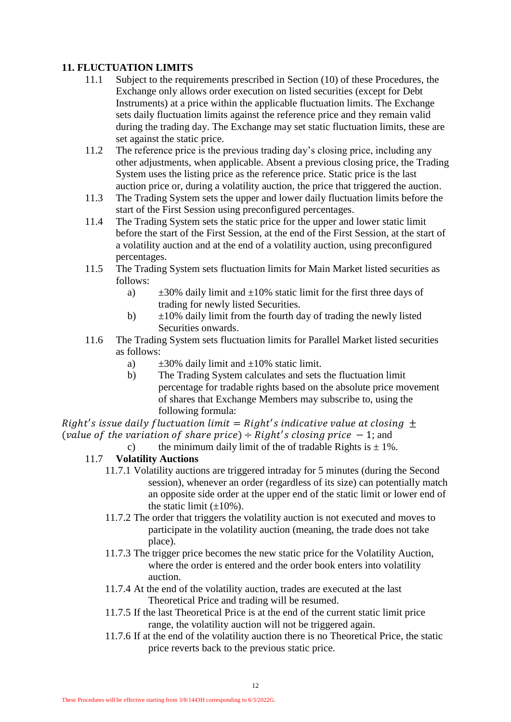# **11. FLUCTUATION LIMITS**

- 11.1 Subject to the requirements prescribed in Section (10) of these Procedures, the Exchange only allows order execution on listed securities (except for Debt Instruments) at a price within the applicable fluctuation limits. The Exchange sets daily fluctuation limits against the reference price and they remain valid during the trading day. The Exchange may set static fluctuation limits, these are set against the static price.
- 11.2 The reference price is the previous trading day's closing price, including any other adjustments, when applicable. Absent a previous closing price, the Trading System uses the listing price as the reference price. Static price is the last auction price or, during a volatility auction, the price that triggered the auction.
- 11.3 The Trading System sets the upper and lower daily fluctuation limits before the start of the First Session using preconfigured percentages.
- 11.4 The Trading System sets the static price for the upper and lower static limit before the start of the First Session, at the end of the First Session, at the start of a volatility auction and at the end of a volatility auction, using preconfigured percentages.
- 11.5 The Trading System sets fluctuation limits for Main Market listed securities as follows:
	- a)  $\pm 30\%$  daily limit and  $\pm 10\%$  static limit for the first three days of trading for newly listed Securities.
	- b)  $\pm 10\%$  daily limit from the fourth day of trading the newly listed Securities onwards.
- 11.6 The Trading System sets fluctuation limits for Parallel Market listed securities as follows:
	- a)  $\pm 30\%$  daily limit and  $\pm 10\%$  static limit.
	- b) The Trading System calculates and sets the fluctuation limit percentage for tradable rights based on the absolute price movement of shares that Exchange Members may subscribe to, using the following formula:

Right's issue daily fluctuation limit = Right's indicative value at closing  $\pm$ (value of the variation of share price)  $\div$  Right's closing price  $-1$ ; and

c) the minimum daily limit of the of tradable Rights is  $\pm 1\%$ .

# 11.7 **Volatility Auctions**

- 11.7.1 Volatility auctions are triggered intraday for 5 minutes (during the Second session), whenever an order (regardless of its size) can potentially match an opposite side order at the upper end of the static limit or lower end of the static limit  $(\pm 10\%)$ .
- 11.7.2 The order that triggers the volatility auction is not executed and moves to participate in the volatility auction (meaning, the trade does not take place).
- 11.7.3 The trigger price becomes the new static price for the Volatility Auction, where the order is entered and the order book enters into volatility auction.
- 11.7.4 At the end of the volatility auction, trades are executed at the last Theoretical Price and trading will be resumed.
- 11.7.5 If the last Theoretical Price is at the end of the current static limit price range, the volatility auction will not be triggered again.
- 11.7.6 If at the end of the volatility auction there is no Theoretical Price, the static price reverts back to the previous static price.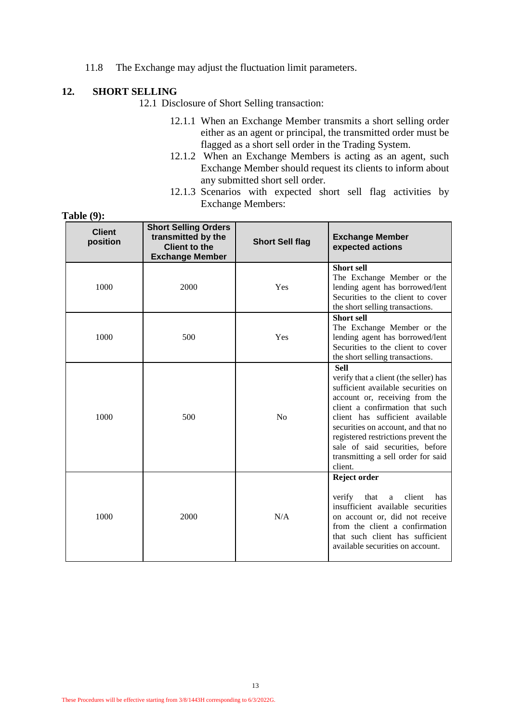11.8 The Exchange may adjust the fluctuation limit parameters.

#### **12. SHORT SELLING**

12.1 Disclosure of Short Selling transaction:

- 12.1.1 When an Exchange Member transmits a short selling order either as an agent or principal, the transmitted order must be flagged as a short sell order in the Trading System.
- 12.1.2 When an Exchange Members is acting as an agent, such Exchange Member should request its clients to inform about any submitted short sell order.
- 12.1.3 Scenarios with expected short sell flag activities by Exchange Members:

| <b>Client</b><br>position | <b>Short Selling Orders</b><br>transmitted by the<br>Client to the<br><b>Exchange Member</b> | <b>Short Sell flag</b> | <b>Exchange Member</b><br>expected actions                                                                                                                                                                                                                                                                                                                          |
|---------------------------|----------------------------------------------------------------------------------------------|------------------------|---------------------------------------------------------------------------------------------------------------------------------------------------------------------------------------------------------------------------------------------------------------------------------------------------------------------------------------------------------------------|
| 1000                      | 2000                                                                                         | Yes                    | <b>Short sell</b><br>The Exchange Member or the<br>lending agent has borrowed/lent<br>Securities to the client to cover<br>the short selling transactions.                                                                                                                                                                                                          |
| 1000                      | 500                                                                                          | Yes                    | <b>Short sell</b><br>The Exchange Member or the<br>lending agent has borrowed/lent<br>Securities to the client to cover<br>the short selling transactions.                                                                                                                                                                                                          |
| 1000                      | 500                                                                                          | No                     | <b>Sell</b><br>verify that a client (the seller) has<br>sufficient available securities on<br>account or, receiving from the<br>client a confirmation that such<br>client has sufficient available<br>securities on account, and that no<br>registered restrictions prevent the<br>sale of said securities, before<br>transmitting a sell order for said<br>client. |
| 1000                      | 2000                                                                                         | N/A                    | Reject order<br>verify that a<br>client<br>has<br>insufficient available securities<br>on account or, did not receive<br>from the client a confirmation<br>that such client has sufficient<br>available securities on account.                                                                                                                                      |

**Table (9):**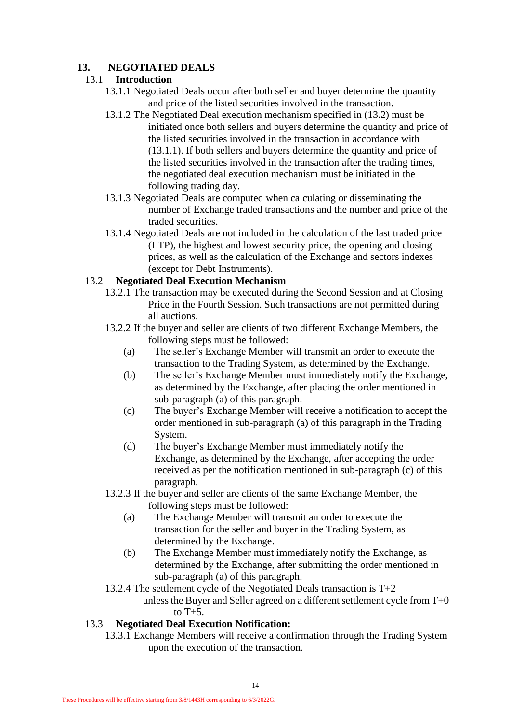# **13. NEGOTIATED DEALS**

# 13.1 **Introduction**

- 13.1.1 Negotiated Deals occur after both seller and buyer determine the quantity and price of the listed securities involved in the transaction.
- 13.1.2 The Negotiated Deal execution mechanism specified in (13.2) must be initiated once both sellers and buyers determine the quantity and price of the listed securities involved in the transaction in accordance with (13.1.1). If both sellers and buyers determine the quantity and price of the listed securities involved in the transaction after the trading times, the negotiated deal execution mechanism must be initiated in the following trading day.
- 13.1.3 Negotiated Deals are computed when calculating or disseminating the number of Exchange traded transactions and the number and price of the traded securities.
- 13.1.4 Negotiated Deals are not included in the calculation of the last traded price (LTP), the highest and lowest security price, the opening and closing prices, as well as the calculation of the Exchange and sectors indexes (except for Debt Instruments).

#### 13.2 **Negotiated Deal Execution Mechanism**

- 13.2.1 The transaction may be executed during the Second Session and at Closing Price in the Fourth Session. Such transactions are not permitted during all auctions.
- 13.2.2 If the buyer and seller are clients of two different Exchange Members, the following steps must be followed:
	- (a) The seller's Exchange Member will transmit an order to execute the transaction to the Trading System, as determined by the Exchange.
	- (b) The seller's Exchange Member must immediately notify the Exchange, as determined by the Exchange, after placing the order mentioned in sub-paragraph (a) of this paragraph.
	- (c) The buyer's Exchange Member will receive a notification to accept the order mentioned in sub-paragraph (a) of this paragraph in the Trading System.
	- (d) The buyer's Exchange Member must immediately notify the Exchange, as determined by the Exchange, after accepting the order received as per the notification mentioned in sub-paragraph (c) of this paragraph.
- 13.2.3 If the buyer and seller are clients of the same Exchange Member, the following steps must be followed:
	- (a) The Exchange Member will transmit an order to execute the transaction for the seller and buyer in the Trading System, as determined by the Exchange.
	- (b) The Exchange Member must immediately notify the Exchange, as determined by the Exchange, after submitting the order mentioned in sub-paragraph (a) of this paragraph.
- 13.2.4 The settlement cycle of the Negotiated Deals transaction is T+2 unless the Buyer and Seller agreed on a different settlement cycle from  $T+0$

to  $T+5$ .

# 13.3 **Negotiated Deal Execution Notification:**

13.3.1 Exchange Members will receive a confirmation through the Trading System upon the execution of the transaction.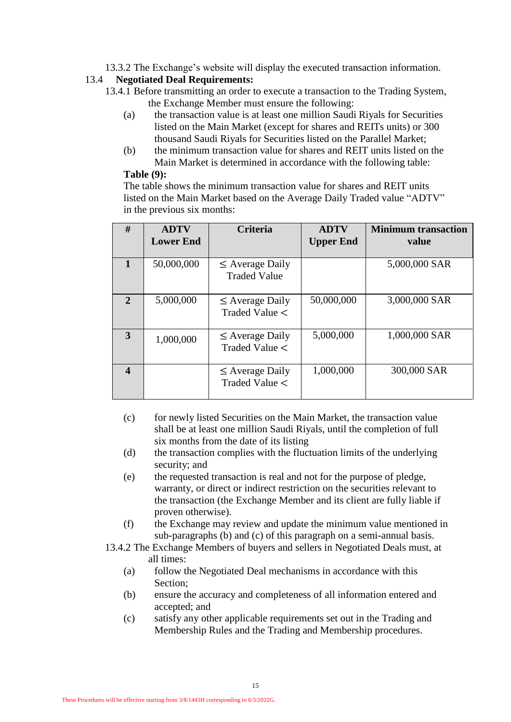13.3.2 The Exchange's website will display the executed transaction information.

#### 13.4 **Negotiated Deal Requirements:**

- 13.4.1 Before transmitting an order to execute a transaction to the Trading System, the Exchange Member must ensure the following:
	- (a) the transaction value is at least one million Saudi Riyals for Securities listed on the Main Market (except for shares and REITs units) or 300 thousand Saudi Riyals for Securities listed on the Parallel Market;
	- (b) the minimum transaction value for shares and REIT units listed on the Main Market is determined in accordance with the following table:

# **Table (9):**

The table shows the minimum transaction value for shares and REIT units listed on the Main Market based on the Average Daily Traded value "ADTV" in the previous six months:

| #                | <b>ADTV</b><br><b>Lower End</b> | <b>Criteria</b>                             | <b>ADTV</b><br><b>Upper End</b> | <b>Minimum transaction</b><br>value |
|------------------|---------------------------------|---------------------------------------------|---------------------------------|-------------------------------------|
|                  | 50,000,000                      | $\leq$ Average Daily<br><b>Traded Value</b> |                                 | 5,000,000 SAR                       |
| $\mathbf{2}$     | 5,000,000                       | $\leq$ Average Daily<br>Traded Value <      | 50,000,000                      | 3,000,000 SAR                       |
| 3                | 1,000,000                       | $\leq$ Average Daily<br>Traded Value <      | 5,000,000                       | 1,000,000 SAR                       |
| $\boldsymbol{4}$ |                                 | $\leq$ Average Daily<br>Traded Value <      | 1,000,000                       | 300,000 SAR                         |

- (c) for newly listed Securities on the Main Market, the transaction value shall be at least one million Saudi Riyals, until the completion of full six months from the date of its listing
- (d) the transaction complies with the fluctuation limits of the underlying security; and
- (e) the requested transaction is real and not for the purpose of pledge, warranty, or direct or indirect restriction on the securities relevant to the transaction (the Exchange Member and its client are fully liable if proven otherwise).
- (f) the Exchange may review and update the minimum value mentioned in sub-paragraphs (b) and (c) of this paragraph on a semi-annual basis.
- 13.4.2 The Exchange Members of buyers and sellers in Negotiated Deals must, at all times:
	- (a) follow the Negotiated Deal mechanisms in accordance with this Section;
	- (b) ensure the accuracy and completeness of all information entered and accepted; and
	- (c) satisfy any other applicable requirements set out in the Trading and Membership Rules and the Trading and Membership procedures.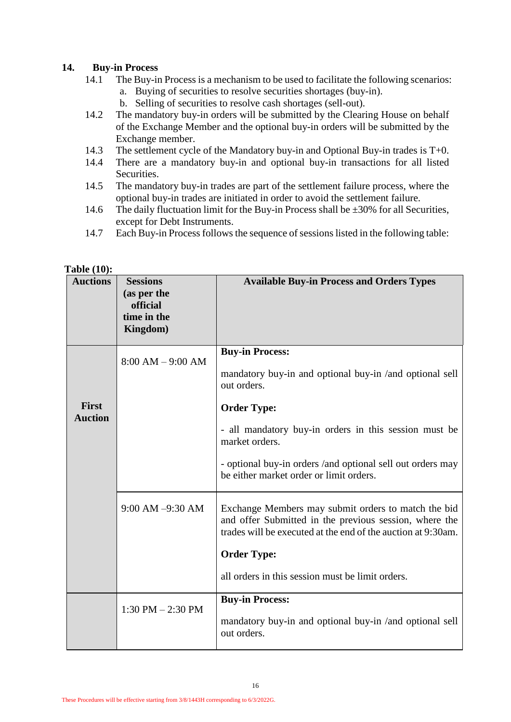#### **14. Buy-in Process**

- 14.1 The Buy-in Process is a mechanism to be used to facilitate the following scenarios:
	- a. Buying of securities to resolve securities shortages (buy-in).
	- b. Selling of securities to resolve cash shortages (sell-out).
- 14.2 The mandatory buy-in orders will be submitted by the Clearing House on behalf of the Exchange Member and the optional buy-in orders will be submitted by the Exchange member.
- 14.3 The settlement cycle of the Mandatory buy-in and Optional Buy-in trades is T+0.
- 14.4 There are a mandatory buy-in and optional buy-in transactions for all listed Securities.
- 14.5 The mandatory buy-in trades are part of the settlement failure process, where the optional buy-in trades are initiated in order to avoid the settlement failure.
- 14.6 The daily fluctuation limit for the Buy-in Process shall be  $\pm 30\%$  for all Securities, except for Debt Instruments.
- 14.7 Each Buy-in Process follows the sequence of sessions listed in the following table:

| 1 avit (10 <i>)</i> .<br><b>Auctions</b> | <b>Sessions</b><br>(as per the<br>official<br>time in the<br>Kingdom) | <b>Available Buy-in Process and Orders Types</b>                                                                                                                                                                                                        |
|------------------------------------------|-----------------------------------------------------------------------|---------------------------------------------------------------------------------------------------------------------------------------------------------------------------------------------------------------------------------------------------------|
| <b>First</b>                             | $8:00 AM - 9:00 AM$                                                   | <b>Buy-in Process:</b><br>mandatory buy-in and optional buy-in /and optional sell<br>out orders.<br><b>Order Type:</b>                                                                                                                                  |
| <b>Auction</b>                           |                                                                       | - all mandatory buy-in orders in this session must be<br>market orders.<br>- optional buy-in orders /and optional sell out orders may<br>be either market order or limit orders.                                                                        |
|                                          | 9:00 AM -9:30 AM                                                      | Exchange Members may submit orders to match the bid<br>and offer Submitted in the previous session, where the<br>trades will be executed at the end of the auction at 9:30am.<br><b>Order Type:</b><br>all orders in this session must be limit orders. |
|                                          | $1:30$ PM $- 2:30$ PM                                                 | <b>Buy-in Process:</b><br>mandatory buy-in and optional buy-in /and optional sell<br>out orders.                                                                                                                                                        |

#### **Table (10):**